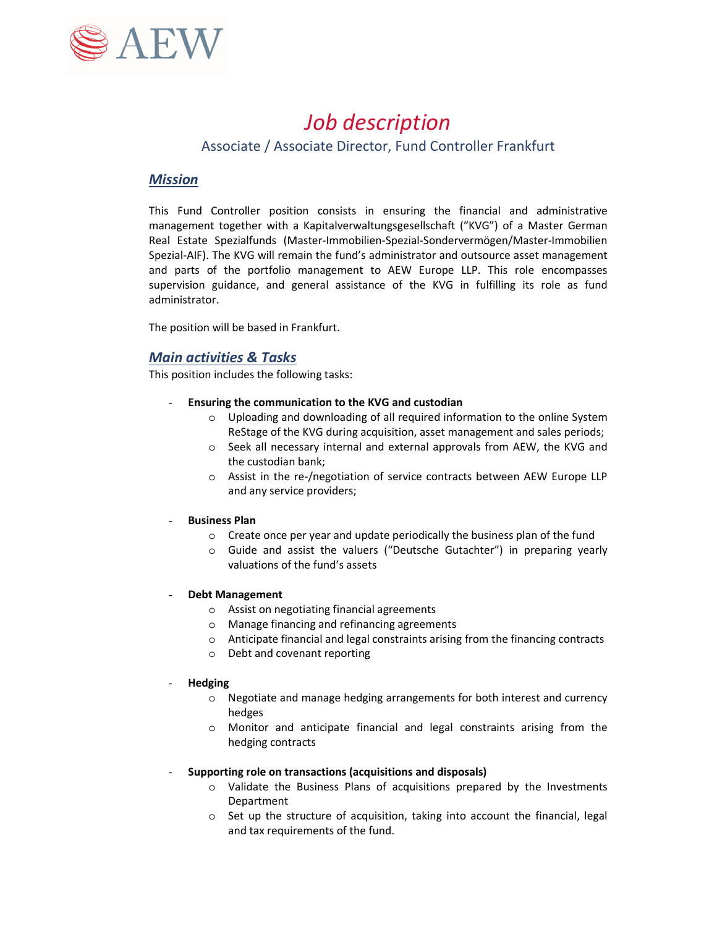

# *Job description*

## Associate / Associate Director, Fund Controller Frankfurt

## *Mission*

This Fund Controller position consists in ensuring the financial and administrative management together with a Kapitalverwaltungsgesellschaft ("KVG") of a Master German Real Estate Spezialfunds (Master-Immobilien-Spezial-Sondervermögen/Master-Immobilien Spezial-AIF). The KVG will remain the fund's administrator and outsource asset management and parts of the portfolio management to AEW Europe LLP. This role encompasses supervision guidance, and general assistance of the KVG in fulfilling its role as fund administrator.

The position will be based in Frankfurt.

## *Main activities & Tasks*

This position includes the following tasks:

- **Ensuring the communication to the KVG and custodian**
	- o Uploading and downloading of all required information to the online System ReStage of the KVG during acquisition, asset management and sales periods;
	- o Seek all necessary internal and external approvals from AEW, the KVG and the custodian bank;
	- o Assist in the re-/negotiation of service contracts between AEW Europe LLP and any service providers;

#### - **Business Plan**

- o Create once per year and update periodically the business plan of the fund
- o Guide and assist the valuers ("Deutsche Gutachter") in preparing yearly valuations of the fund's assets

#### - **Debt Management**

- o Assist on negotiating financial agreements
- o Manage financing and refinancing agreements
- o Anticipate financial and legal constraints arising from the financing contracts
- o Debt and covenant reporting

#### - **Hedging**

- o Negotiate and manage hedging arrangements for both interest and currency hedges
- o Monitor and anticipate financial and legal constraints arising from the hedging contracts

#### - **Supporting role on transactions (acquisitions and disposals)**

- o Validate the Business Plans of acquisitions prepared by the Investments Department
- o Set up the structure of acquisition, taking into account the financial, legal and tax requirements of the fund.